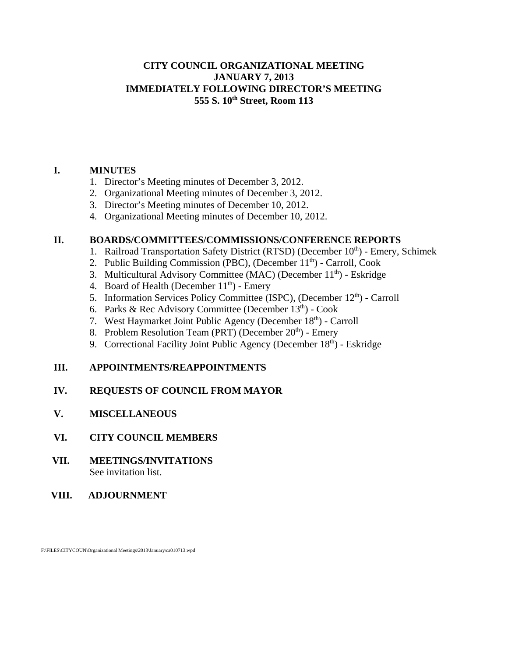### **CITY COUNCIL ORGANIZATIONAL MEETING JANUARY 7, 2013 IMMEDIATELY FOLLOWING DIRECTOR'S MEETING 555 S. 10th Street, Room 113**

# **I. MINUTES**

- 1. Director's Meeting minutes of December 3, 2012.
- 2. Organizational Meeting minutes of December 3, 2012.
- 3. Director's Meeting minutes of December 10, 2012.
- 4. Organizational Meeting minutes of December 10, 2012.

### **II. BOARDS/COMMITTEES/COMMISSIONS/CONFERENCE REPORTS**

- 1. Railroad Transportation Safety District (RTSD) (December 10<sup>th</sup>) Emery, Schimek
- 2. Public Building Commission (PBC), (December  $11<sup>th</sup>$ ) Carroll, Cook
- 3. Multicultural Advisory Committee (MAC) (December 11<sup>th</sup>) Eskridge
- 4. Board of Health (December  $11<sup>th</sup>$ ) Emery
- 5. Information Services Policy Committee (ISPC), (December  $12<sup>th</sup>$ ) Carroll
- 6. Parks & Rec Advisory Committee (December  $13<sup>th</sup>$ ) Cook
- 7. West Haymarket Joint Public Agency (December 18<sup>th</sup>) Carroll
- 8. Problem Resolution Team (PRT) (December  $20<sup>th</sup>$ ) Emery
- 9. Correctional Facility Joint Public Agency (December  $18<sup>th</sup>$ ) Eskridge

# **III. APPOINTMENTS/REAPPOINTMENTS**

# **IV. REQUESTS OF COUNCIL FROM MAYOR**

# **V. MISCELLANEOUS**

- **VI. CITY COUNCIL MEMBERS**
- **VII. MEETINGS/INVITATIONS** See invitation list.
- **VIII. ADJOURNMENT**

F:\FILES\CITYCOUN\Organizational Meetings\2013\January\ca010713.wpd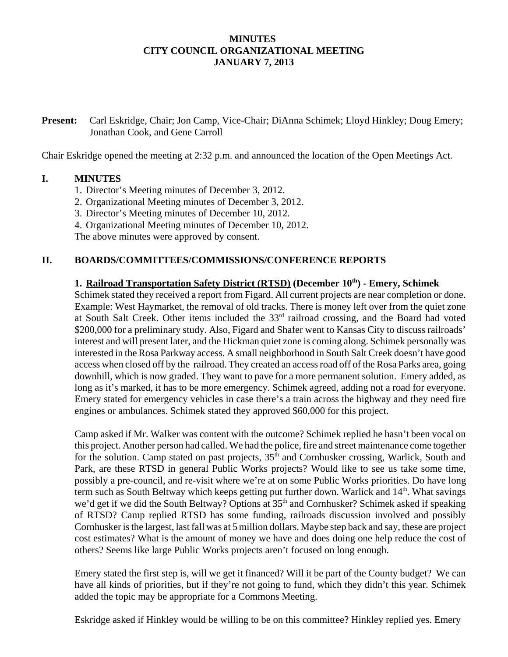# **MINUTES CITY COUNCIL ORGANIZATIONAL MEETING JANUARY 7, 2013**

**Present:** Carl Eskridge, Chair; Jon Camp, Vice-Chair; DiAnna Schimek; Lloyd Hinkley; Doug Emery; Jonathan Cook, and Gene Carroll

Chair Eskridge opened the meeting at 2:32 p.m. and announced the location of the Open Meetings Act.

### **I. MINUTES**

- 1. Director's Meeting minutes of December 3, 2012.
- 2. Organizational Meeting minutes of December 3, 2012.
- 3. Director's Meeting minutes of December 10, 2012.
- 4. Organizational Meeting minutes of December 10, 2012.

The above minutes were approved by consent.

### **II. BOARDS/COMMITTEES/COMMISSIONS/CONFERENCE REPORTS**

#### **1. Railroad Transportation Safety District (RTSD) (December 10th) - Emery, Schimek**

Schimek stated they received a report from Figard. All current projects are near completion or done. Example: West Haymarket, the removal of old tracks. There is money left over from the quiet zone at South Salt Creek. Other items included the 33<sup>rd</sup> railroad crossing, and the Board had voted \$200,000 for a preliminary study. Also, Figard and Shafer went to Kansas City to discuss railroads' interest and will present later, and the Hickman quiet zone is coming along. Schimek personally was interested in the Rosa Parkway access. A small neighborhood in South Salt Creek doesn't have good access when closed off by the railroad. They created an access road off of the Rosa Parks area, going downhill, which is now graded. They want to pave for a more permanent solution. Emery added, as long as it's marked, it has to be more emergency. Schimek agreed, adding not a road for everyone. Emery stated for emergency vehicles in case there's a train across the highway and they need fire engines or ambulances. Schimek stated they approved \$60,000 for this project.

Camp asked if Mr. Walker was content with the outcome? Schimek replied he hasn't been vocal on this project. Another person had called. We had the police, fire and street maintenance come together for the solution. Camp stated on past projects, 35<sup>th</sup> and Cornhusker crossing, Warlick, South and Park, are these RTSD in general Public Works projects? Would like to see us take some time, possibly a pre-council, and re-visit where we're at on some Public Works priorities. Do have long term such as South Beltway which keeps getting put further down. Warlick and 14<sup>th</sup>. What savings we'd get if we did the South Beltway? Options at 35<sup>th</sup> and Cornhusker? Schimek asked if speaking of RTSD? Camp replied RTSD has some funding, railroads discussion involved and possibly Cornhusker is the largest, last fall was at 5 million dollars. Maybe step back and say, these are project cost estimates? What is the amount of money we have and does doing one help reduce the cost of others? Seems like large Public Works projects aren't focused on long enough.

Emery stated the first step is, will we get it financed? Will it be part of the County budget? We can have all kinds of priorities, but if they're not going to fund, which they didn't this year. Schimek added the topic may be appropriate for a Commons Meeting.

Eskridge asked if Hinkley would be willing to be on this committee? Hinkley replied yes. Emery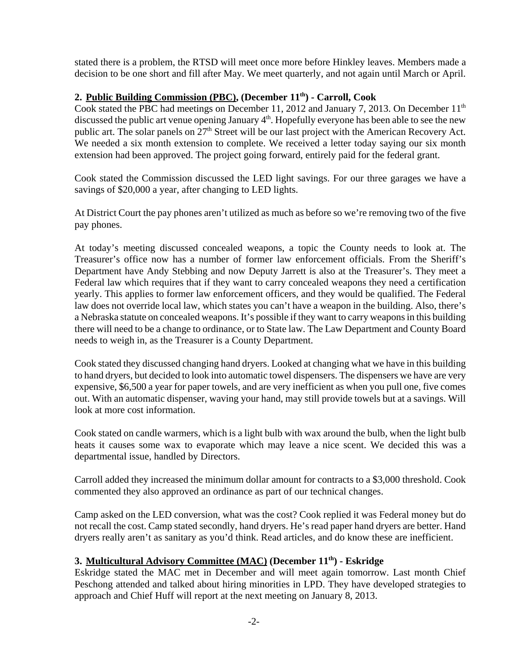stated there is a problem, the RTSD will meet once more before Hinkley leaves. Members made a decision to be one short and fill after May. We meet quarterly, and not again until March or April.

# **2. Public Building Commission (PBC), (December 11th) - Carroll, Cook**

Cook stated the PBC had meetings on December 11, 2012 and January 7, 2013. On December 11<sup>th</sup> discussed the public art venue opening January  $4<sup>th</sup>$ . Hopefully everyone has been able to see the new public art. The solar panels on  $27<sup>th</sup>$  Street will be our last project with the American Recovery Act. We needed a six month extension to complete. We received a letter today saying our six month extension had been approved. The project going forward, entirely paid for the federal grant.

Cook stated the Commission discussed the LED light savings. For our three garages we have a savings of \$20,000 a year, after changing to LED lights.

At District Court the pay phones aren't utilized as much as before so we're removing two of the five pay phones.

At today's meeting discussed concealed weapons, a topic the County needs to look at. The Treasurer's office now has a number of former law enforcement officials. From the Sheriff's Department have Andy Stebbing and now Deputy Jarrett is also at the Treasurer's. They meet a Federal law which requires that if they want to carry concealed weapons they need a certification yearly. This applies to former law enforcement officers, and they would be qualified. The Federal law does not override local law, which states you can't have a weapon in the building. Also, there's a Nebraska statute on concealed weapons. It's possible if they want to carry weapons in this building there will need to be a change to ordinance, or to State law. The Law Department and County Board needs to weigh in, as the Treasurer is a County Department.

Cook stated they discussed changing hand dryers. Looked at changing what we have in this building to hand dryers, but decided to look into automatic towel dispensers. The dispensers we have are very expensive, \$6,500 a year for paper towels, and are very inefficient as when you pull one, five comes out. With an automatic dispenser, waving your hand, may still provide towels but at a savings. Will look at more cost information.

Cook stated on candle warmers, which is a light bulb with wax around the bulb, when the light bulb heats it causes some wax to evaporate which may leave a nice scent. We decided this was a departmental issue, handled by Directors.

Carroll added they increased the minimum dollar amount for contracts to a \$3,000 threshold. Cook commented they also approved an ordinance as part of our technical changes.

Camp asked on the LED conversion, what was the cost? Cook replied it was Federal money but do not recall the cost. Camp stated secondly, hand dryers. He's read paper hand dryers are better. Hand dryers really aren't as sanitary as you'd think. Read articles, and do know these are inefficient.

# **3. Multicultural Advisory Committee (MAC) (December 11th) - Eskridge**

Eskridge stated the MAC met in December and will meet again tomorrow. Last month Chief Peschong attended and talked about hiring minorities in LPD. They have developed strategies to approach and Chief Huff will report at the next meeting on January 8, 2013.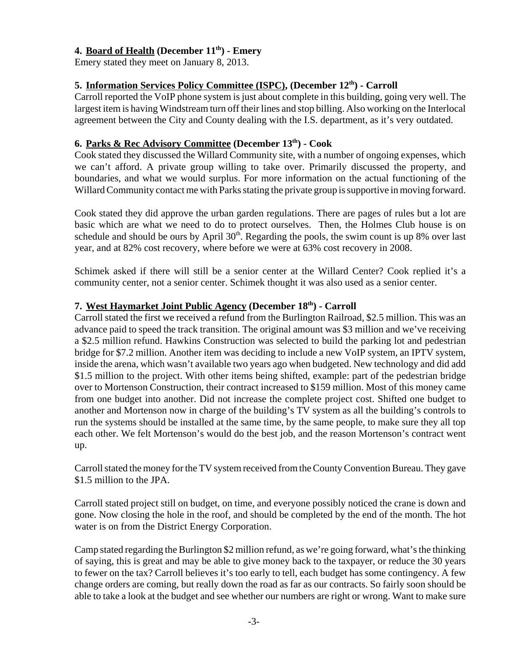# **4. Board of Health (December 11th) - Emery**

Emery stated they meet on January 8, 2013.

# **5. Information Services Policy Committee (ISPC), (December 12<sup>th</sup>) - Carroll**

Carroll reported the VoIP phone system is just about complete in this building, going very well. The largest item is having Windstream turn off their lines and stop billing. Also working on the Interlocal agreement between the City and County dealing with the I.S. department, as it's very outdated.

# **6. Parks & Rec Advisory Committee (December 13th) - Cook**

Cook stated they discussed the Willard Community site, with a number of ongoing expenses, which we can't afford. A private group willing to take over. Primarily discussed the property, and boundaries, and what we would surplus. For more information on the actual functioning of the Willard Community contact me with Parks stating the private group is supportive in moving forward.

Cook stated they did approve the urban garden regulations. There are pages of rules but a lot are basic which are what we need to do to protect ourselves. Then, the Holmes Club house is on schedule and should be ours by April 30<sup>th</sup>. Regarding the pools, the swim count is up 8% over last year, and at 82% cost recovery, where before we were at 63% cost recovery in 2008.

Schimek asked if there will still be a senior center at the Willard Center? Cook replied it's a community center, not a senior center. Schimek thought it was also used as a senior center.

# **7. West Haymarket Joint Public Agency (December 18th) - Carroll**

Carroll stated the first we received a refund from the Burlington Railroad, \$2.5 million. This was an advance paid to speed the track transition. The original amount was \$3 million and we've receiving a \$2.5 million refund. Hawkins Construction was selected to build the parking lot and pedestrian bridge for \$7.2 million. Another item was deciding to include a new VoIP system, an IPTV system, inside the arena, which wasn't available two years ago when budgeted. New technology and did add \$1.5 million to the project. With other items being shifted, example: part of the pedestrian bridge over to Mortenson Construction, their contract increased to \$159 million. Most of this money came from one budget into another. Did not increase the complete project cost. Shifted one budget to another and Mortenson now in charge of the building's TV system as all the building's controls to run the systems should be installed at the same time, by the same people, to make sure they all top each other. We felt Mortenson's would do the best job, and the reason Mortenson's contract went up.

Carroll stated the money for the TV system received from the County Convention Bureau. They gave \$1.5 million to the JPA.

Carroll stated project still on budget, on time, and everyone possibly noticed the crane is down and gone. Now closing the hole in the roof, and should be completed by the end of the month. The hot water is on from the District Energy Corporation.

Camp stated regarding the Burlington \$2 million refund, as we're going forward, what's the thinking of saying, this is great and may be able to give money back to the taxpayer, or reduce the 30 years to fewer on the tax? Carroll believes it's too early to tell, each budget has some contingency. A few change orders are coming, but really down the road as far as our contracts. So fairly soon should be able to take a look at the budget and see whether our numbers are right or wrong. Want to make sure